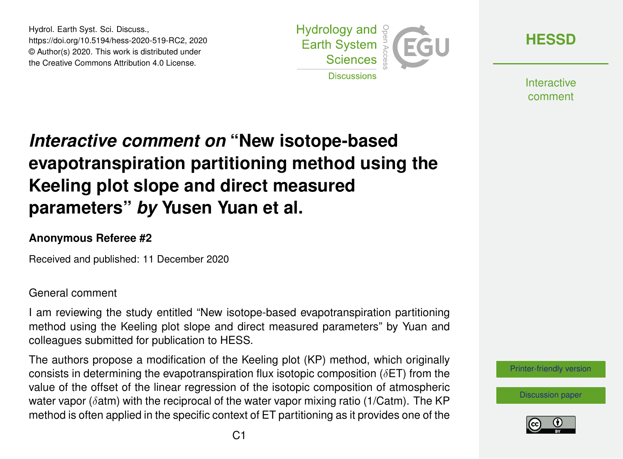Hydrol. Earth Syst. Sci. Discuss., https://doi.org/10.5194/hess-2020-519-RC2, 2020 © Author(s) 2020. This work is distributed under the Creative Commons Attribution 4.0 License.



**[HESSD](https://hess.copernicus.org/preprints/)**

**Interactive** comment

# *Interactive comment on* **"New isotope-based evapotranspiration partitioning method using the Keeling plot slope and direct measured parameters"** *by* **Yusen Yuan et al.**

### **Anonymous Referee #2**

Received and published: 11 December 2020

#### General comment

I am reviewing the study entitled "New isotope-based evapotranspiration partitioning method using the Keeling plot slope and direct measured parameters" by Yuan and colleagues submitted for publication to HESS.

The authors propose a modification of the Keeling plot (KP) method, which originally consists in determining the evapotranspiration flux isotopic composition ( $\delta$ ET) from the value of the offset of the linear regression of the isotopic composition of atmospheric water vapor ( $\delta$ atm) with the reciprocal of the water vapor mixing ratio ( $1/Catm$ ). The KP method is often applied in the specific context of ET partitioning as it provides one of the



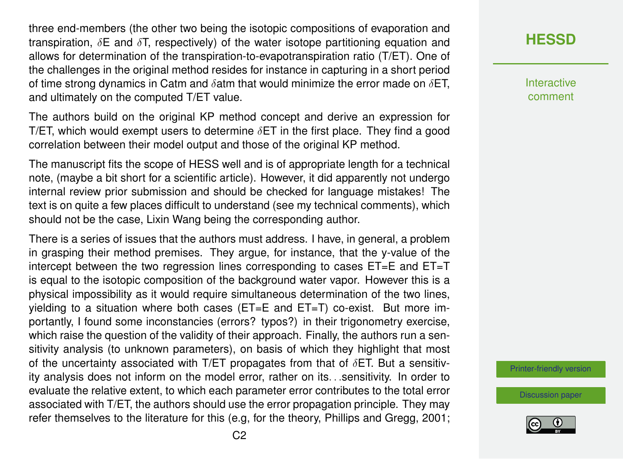three end-members (the other two being the isotopic compositions of evaporation and transpiration,  $\delta E$  and  $\delta T$ , respectively) of the water isotope partitioning equation and allows for determination of the transpiration-to-evapotranspiration ratio (T/ET). One of the challenges in the original method resides for instance in capturing in a short period of time strong dynamics in Catm and  $\delta$ atm that would minimize the error made on  $\delta$ ET, and ultimately on the computed T/ET value.

The authors build on the original KP method concept and derive an expression for T/ET, which would exempt users to determine  $\delta$ ET in the first place. They find a good correlation between their model output and those of the original KP method.

The manuscript fits the scope of HESS well and is of appropriate length for a technical note, (maybe a bit short for a scientific article). However, it did apparently not undergo internal review prior submission and should be checked for language mistakes! The text is on quite a few places difficult to understand (see my technical comments), which should not be the case, Lixin Wang being the corresponding author.

There is a series of issues that the authors must address. I have, in general, a problem in grasping their method premises. They argue, for instance, that the y-value of the intercept between the two regression lines corresponding to cases ET=E and ET=T is equal to the isotopic composition of the background water vapor. However this is a physical impossibility as it would require simultaneous determination of the two lines, yielding to a situation where both cases (ET=E and ET=T) co-exist. But more importantly, I found some inconstancies (errors? typos?) in their trigonometry exercise, which raise the question of the validity of their approach. Finally, the authors run a sensitivity analysis (to unknown parameters), on basis of which they highlight that most of the uncertainty associated with T/ET propagates from that of  $\delta$ ET. But a sensitivity analysis does not inform on the model error, rather on its. . .sensitivity. In order to evaluate the relative extent, to which each parameter error contributes to the total error associated with T/ET, the authors should use the error propagation principle. They may refer themselves to the literature for this (e.g, for the theory, Phillips and Gregg, 2001; **[HESSD](https://hess.copernicus.org/preprints/)**

**Interactive** comment

[Printer-friendly version](https://hess.copernicus.org/preprints/hess-2020-519/hess-2020-519-RC2-print.pdf)

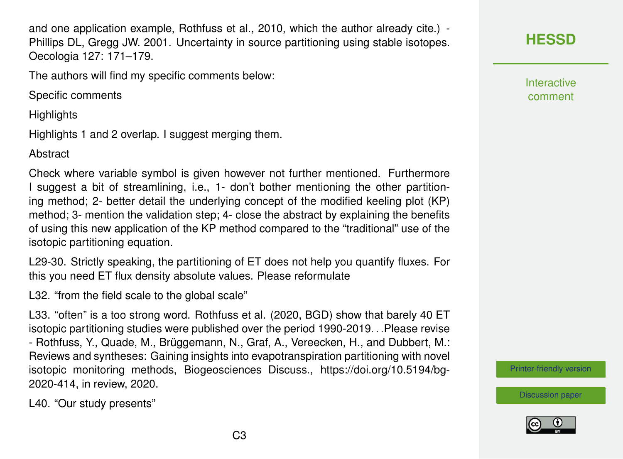and one application example, Rothfuss et al., 2010, which the author already cite.) - Phillips DL, Gregg JW. 2001. Uncertainty in source partitioning using stable isotopes. Oecologia 127: 171–179.

The authors will find my specific comments below:

Specific comments

**Highlights** 

Highlights 1 and 2 overlap. I suggest merging them.

Abstract

Check where variable symbol is given however not further mentioned. Furthermore I suggest a bit of streamlining, i.e., 1- don't bother mentioning the other partitioning method; 2- better detail the underlying concept of the modified keeling plot (KP) method; 3- mention the validation step; 4- close the abstract by explaining the benefits of using this new application of the KP method compared to the "traditional" use of the isotopic partitioning equation.

L29-30. Strictly speaking, the partitioning of ET does not help you quantify fluxes. For this you need ET flux density absolute values. Please reformulate

L32. "from the field scale to the global scale"

L33. "often" is a too strong word. Rothfuss et al. (2020, BGD) show that barely 40 ET isotopic partitioning studies were published over the period 1990-2019. . .Please revise - Rothfuss, Y., Quade, M., Brüggemann, N., Graf, A., Vereecken, H., and Dubbert, M.: Reviews and syntheses: Gaining insights into evapotranspiration partitioning with novel isotopic monitoring methods, Biogeosciences Discuss., https://doi.org/10.5194/bg-2020-414, in review, 2020.

L40. "Our study presents"



**Interactive** comment

[Printer-friendly version](https://hess.copernicus.org/preprints/hess-2020-519/hess-2020-519-RC2-print.pdf)



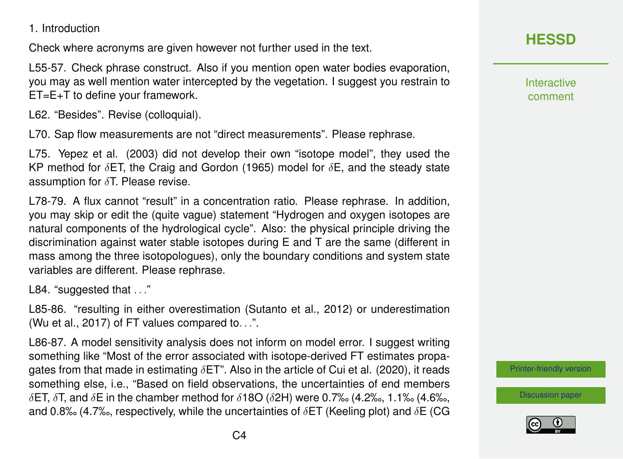Check where acronyms are given however not further used in the text.

L55-57. Check phrase construct. Also if you mention open water bodies evaporation, you may as well mention water intercepted by the vegetation. I suggest you restrain to ET=E+T to define your framework.

L62. "Besides". Revise (colloquial).

L70. Sap flow measurements are not "direct measurements". Please rephrase.

L75. Yepez et al. (2003) did not develop their own "isotope model", they used the KP method for  $\delta$ ET, the Craig and Gordon (1965) model for  $\delta$ E, and the steady state assumption for  $\delta T$ . Please revise.

L78-79. A flux cannot "result" in a concentration ratio. Please rephrase. In addition, you may skip or edit the (quite vague) statement "Hydrogen and oxygen isotopes are natural components of the hydrological cycle". Also: the physical principle driving the discrimination against water stable isotopes during E and T are the same (different in mass among the three isotopologues), only the boundary conditions and system state variables are different. Please rephrase.

L84. "suggested that . . ."

L85-86. "resulting in either overestimation (Sutanto et al., 2012) or underestimation (Wu et al., 2017) of FT values compared to. . .".

L86-87. A model sensitivity analysis does not inform on model error. I suggest writing something like "Most of the error associated with isotope-derived FT estimates propagates from that made in estimating  $\delta$ ET". Also in the article of Cui et al. (2020), it reads something else, i.e., "Based on field observations, the uncertainties of end members δET, δT, and δE in the chamber method for δ18O (δ2H) were 0.7‰ (4.2‰, 1.1‰ (4.6‰, and 0.8‰ (4.7‰, respectively, while the uncertainties of  $\delta$ ET (Keeling plot) and  $\delta$ E (CG



**Interactive** comment

[Printer-friendly version](https://hess.copernicus.org/preprints/hess-2020-519/hess-2020-519-RC2-print.pdf)

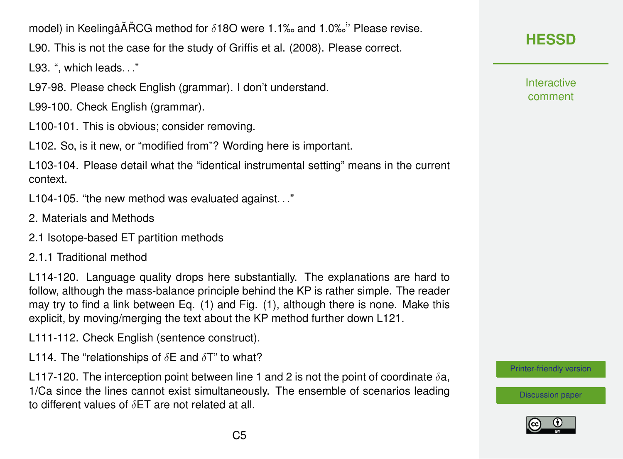

L90. This is not the case for the study of Griffis et al. (2008). Please correct.

L93. ", which leads. . ."

L97-98. Please check English (grammar). I don't understand.

L99-100. Check English (grammar).

L100-101. This is obvious; consider removing.

L102. So, is it new, or "modified from"? Wording here is important.

L103-104. Please detail what the "identical instrumental setting" means in the current context.

L104-105. "the new method was evaluated against. . ."

- 2. Materials and Methods
- 2.1 Isotope-based ET partition methods
- 2.1.1 Traditional method

L114-120. Language quality drops here substantially. The explanations are hard to follow, although the mass-balance principle behind the KP is rather simple. The reader may try to find a link between Eq. (1) and Fig. (1), although there is none. Make this explicit, by moving/merging the text about the KP method further down L121.

L111-112. Check English (sentence construct).

L114. The "relationships of  $\delta$ E and  $\delta$ T" to what?

L117-120. The interception point between line 1 and 2 is not the point of coordinate  $\delta a$ , 1/Ca since the lines cannot exist simultaneously. The ensemble of scenarios leading to different values of  $\delta$ ET are not related at all.

**[HESSD](https://hess.copernicus.org/preprints/)**

**Interactive** comment

[Printer-friendly version](https://hess.copernicus.org/preprints/hess-2020-519/hess-2020-519-RC2-print.pdf)

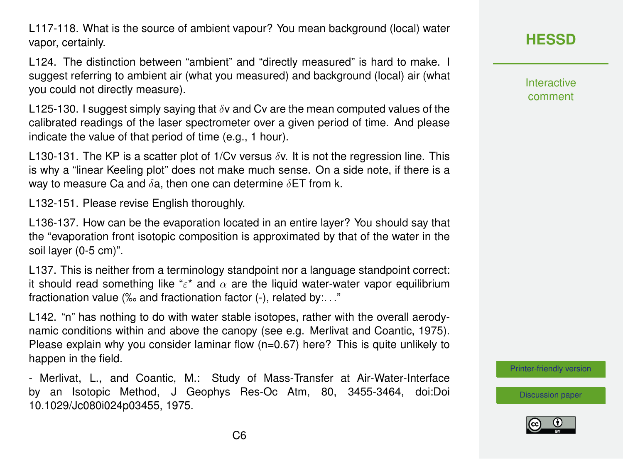L117-118. What is the source of ambient vapour? You mean background (local) water vapor, certainly.

L124. The distinction between "ambient" and "directly measured" is hard to make. I suggest referring to ambient air (what you measured) and background (local) air (what you could not directly measure).

L125-130. I suggest simply saying that  $\delta v$  and Cv are the mean computed values of the calibrated readings of the laser spectrometer over a given period of time. And please indicate the value of that period of time (e.g., 1 hour).

L130-131. The KP is a scatter plot of 1/Cv versus  $\delta v$ . It is not the regression line. This is why a "linear Keeling plot" does not make much sense. On a side note, if there is a way to measure Ca and  $\delta$ a, then one can determine  $\delta$ ET from k.

L132-151. Please revise English thoroughly.

L136-137. How can be the evaporation located in an entire layer? You should say that the "evaporation front isotopic composition is approximated by that of the water in the soil layer (0-5 cm)".

L137. This is neither from a terminology standpoint nor a language standpoint correct: it should read something like " $\varepsilon^*$  and  $\alpha$  are the liquid water-water vapor equilibrium fractionation value (‰ and fractionation factor (-), related by:. . ."

L142. "n" has nothing to do with water stable isotopes, rather with the overall aerodynamic conditions within and above the canopy (see e.g. Merlivat and Coantic, 1975). Please explain why you consider laminar flow  $(n=0.67)$  here? This is quite unlikely to happen in the field.

- Merlivat, L., and Coantic, M.: Study of Mass-Transfer at Air-Water-Interface by an Isotopic Method, J Geophys Res-Oc Atm, 80, 3455-3464, doi:Doi 10.1029/Jc080i024p03455, 1975.

**[HESSD](https://hess.copernicus.org/preprints/)**

Interactive comment

[Printer-friendly version](https://hess.copernicus.org/preprints/hess-2020-519/hess-2020-519-RC2-print.pdf)

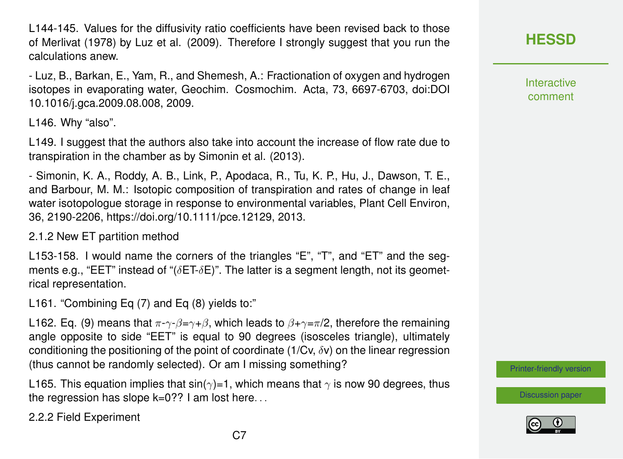L144-145. Values for the diffusivity ratio coefficients have been revised back to those of Merlivat (1978) by Luz et al. (2009). Therefore I strongly suggest that you run the calculations anew.

- Luz, B., Barkan, E., Yam, R., and Shemesh, A.: Fractionation of oxygen and hydrogen isotopes in evaporating water, Geochim. Cosmochim. Acta, 73, 6697-6703, doi:DOI 10.1016/j.gca.2009.08.008, 2009.

L146. Why "also".

L149. I suggest that the authors also take into account the increase of flow rate due to transpiration in the chamber as by Simonin et al. (2013).

- Simonin, K. A., Roddy, A. B., Link, P., Apodaca, R., Tu, K. P., Hu, J., Dawson, T. E., and Barbour, M. M.: Isotopic composition of transpiration and rates of change in leaf water isotopologue storage in response to environmental variables, Plant Cell Environ, 36, 2190-2206, https://doi.org/10.1111/pce.12129, 2013.

2.1.2 New ET partition method

L153-158. I would name the corners of the triangles "E", "T", and "ET" and the segments e.g., "EET" instead of " $(\delta$ ET- $\delta$ E)". The latter is a segment length, not its geometrical representation.

L161. "Combining Eq (7) and Eq (8) yields to:"

L162. Eq. (9) means that  $\pi \neg \gamma \neg \beta = \gamma + \beta$ , which leads to  $\beta + \gamma = \pi/2$ , therefore the remaining angle opposite to side "EET" is equal to 90 degrees (isosceles triangle), ultimately conditioning the positioning of the point of coordinate (1/Cv,  $\delta v$ ) on the linear regression (thus cannot be randomly selected). Or am I missing something?

L165. This equation implies that  $sin(\gamma)=1$ , which means that  $\gamma$  is now 90 degrees, thus the regression has slope k=0?? I am lost here. . .

2.2.2 Field Experiment

## **[HESSD](https://hess.copernicus.org/preprints/)**

**Interactive** comment

[Printer-friendly version](https://hess.copernicus.org/preprints/hess-2020-519/hess-2020-519-RC2-print.pdf)

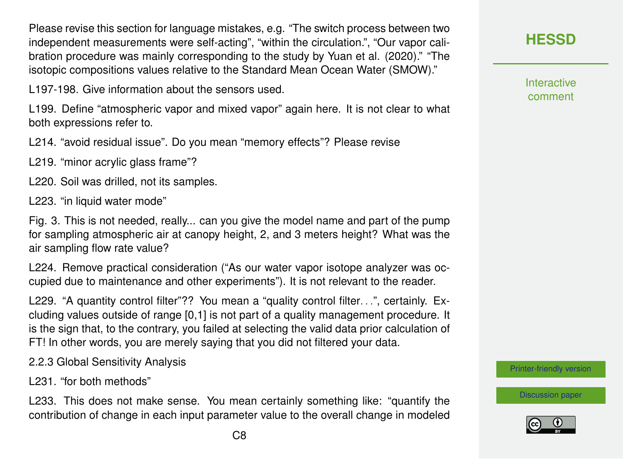Please revise this section for language mistakes, e.g. "The switch process between two independent measurements were self-acting", "within the circulation.", "Our vapor calibration procedure was mainly corresponding to the study by Yuan et al. (2020)." "The isotopic compositions values relative to the Standard Mean Ocean Water (SMOW)."

L197-198. Give information about the sensors used.

L199. Define "atmospheric vapor and mixed vapor" again here. It is not clear to what both expressions refer to.

L214. "avoid residual issue". Do you mean "memory effects"? Please revise

L219. "minor acrylic glass frame"?

L220. Soil was drilled, not its samples.

L223. "in liquid water mode"

Fig. 3. This is not needed, really... can you give the model name and part of the pump for sampling atmospheric air at canopy height, 2, and 3 meters height? What was the air sampling flow rate value?

L224. Remove practical consideration ("As our water vapor isotope analyzer was occupied due to maintenance and other experiments"). It is not relevant to the reader.

L229. "A quantity control filter"?? You mean a "quality control filter...", certainly. Excluding values outside of range [0,1] is not part of a quality management procedure. It is the sign that, to the contrary, you failed at selecting the valid data prior calculation of FT! In other words, you are merely saying that you did not filtered your data.

2.2.3 Global Sensitivity Analysis

L231. "for both methods"

L233. This does not make sense. You mean certainly something like: "quantify the contribution of change in each input parameter value to the overall change in modeled Interactive comment

[Printer-friendly version](https://hess.copernicus.org/preprints/hess-2020-519/hess-2020-519-RC2-print.pdf)

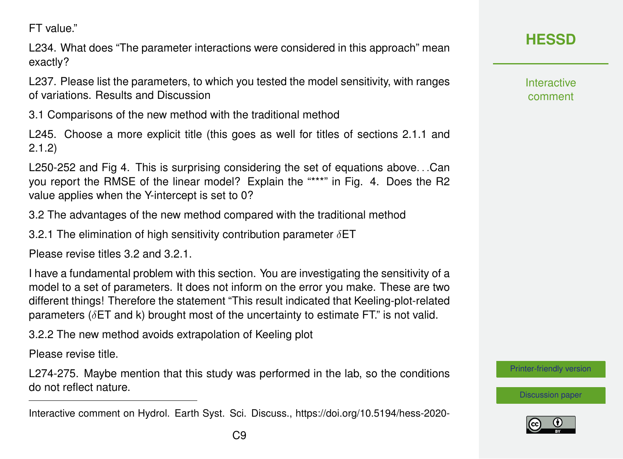FT value."

L234. What does "The parameter interactions were considered in this approach" mean exactly?

L237. Please list the parameters, to which you tested the model sensitivity, with ranges of variations. Results and Discussion

3.1 Comparisons of the new method with the traditional method

L245. Choose a more explicit title (this goes as well for titles of sections 2.1.1 and 2.1.2)

L250-252 and Fig 4. This is surprising considering the set of equations above. . .Can you report the RMSE of the linear model? Explain the "\*\*\*" in Fig. 4. Does the R2 value applies when the Y-intercept is set to 0?

3.2 The advantages of the new method compared with the traditional method

3.2.1 The elimination of high sensitivity contribution parameter  $\delta$ ET

Please revise titles 3.2 and 3.2.1.

I have a fundamental problem with this section. You are investigating the sensitivity of a model to a set of parameters. It does not inform on the error you make. These are two different things! Therefore the statement "This result indicated that Keeling-plot-related parameters ( $\delta$ ET and k) brought most of the uncertainty to estimate FT." is not valid.

3.2.2 The new method avoids extrapolation of Keeling plot

Please revise title.

L274-275. Maybe mention that this study was performed in the lab, so the conditions do not reflect nature.

**Interactive** comment

[Printer-friendly version](https://hess.copernicus.org/preprints/hess-2020-519/hess-2020-519-RC2-print.pdf)



Interactive comment on Hydrol. Earth Syst. Sci. Discuss., https://doi.org/10.5194/hess-2020-